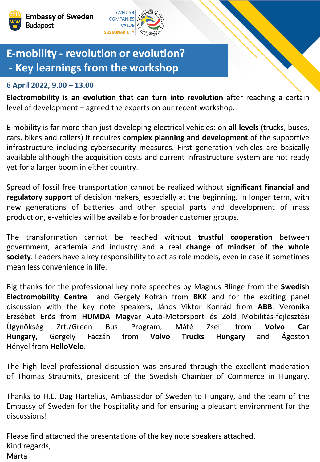

## **E-mobility - revolution or evolution? - Key learnings from the workshop**

## **6 April 2022, 9.00 – 13.00**

**Electromobility is an evolution that can turn into revolution** after reaching a certain level of development – agreed the experts on our recent workshop.

E-mobility is far more than just developing electrical vehicles: on **all levels** (trucks, buses, cars, bikes and rollers) it requires **complex planning and development** of the supportive infrastructure including cybersecurity measures. First generation vehicles are basically available although the acquisition costs and current infrastructure system are not ready yet for a larger boom in either country.

Spread of fossil free transportation cannot be realized without **significant financial and regulatory support** of decision makers, especially at the beginning. In longer term, with new generations of batteries and other special parts and development of mass production, e-vehicles will be available for broader customer groups.

The transformation cannot be reached without **trustful cooperation** between government, academia and industry and a real **change of mindset of the whole society**. Leaders have a key responsibility to act as role models, even in case it sometimes mean less convenience in life.

Big thanks for the professional key note speeches by Magnus Blinge from the **Swedish Electromobility Centre** and Gergely Kofrán from **BKK** and for the exciting panel discussion with the key note speakers, János Viktor Konrád from **ABB**, Veronika Erzsébet Erős from **HUMDA** Magyar Autó-Motorsport és Zöld Mobilitás-fejlesztési Ügynökség Zrt./Green Bus Program, Máté Zseli from **Volvo Car Hungary**, Gergely Fáczán from **Volvo Trucks Hungary** and Ágoston Hényel from **HelloVelo**.

The high level professional discussion was ensured through the excellent moderation of Thomas Straumits, president of the Swedish Chamber of Commerce in Hungary.

Thanks to H.E. Dag Hartelius, Ambassador of Sweden to Hungary, and the team of the Embassy of Sweden for the hospitality and for ensuring a pleasant environment for the discussions!

Please find attached the presentations of the key note speakers attached. Kind regards, Márta